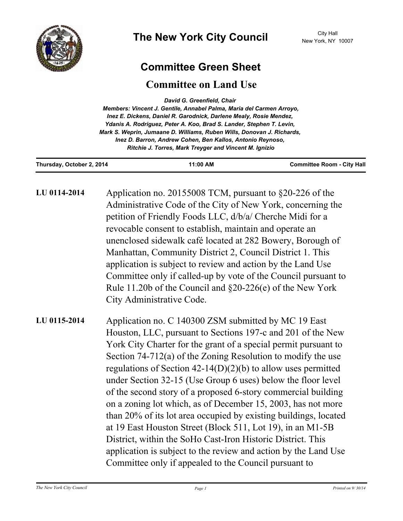

## **Committee Green Sheet**

## **Committee on Land Use**

| David G. Greenfield, Chair                                             |  |
|------------------------------------------------------------------------|--|
| Members: Vincent J. Gentile, Annabel Palma, Maria del Carmen Arroyo,   |  |
| Inez E. Dickens, Daniel R. Garodnick, Darlene Mealy, Rosie Mendez,     |  |
| Ydanis A. Rodriguez, Peter A. Koo, Brad S. Lander, Stephen T. Levin,   |  |
| Mark S. Weprin, Jumaane D. Williams, Ruben Wills, Donovan J. Richards, |  |
| Inez D. Barron, Andrew Cohen, Ben Kallos, Antonio Reynoso,             |  |
| Ritchie J. Torres, Mark Treyger and Vincent M. Ignizio                 |  |
|                                                                        |  |

| Thursday, October 2, 2014 | 11:00 AM | <b>Committee Room - City Hall</b> |
|---------------------------|----------|-----------------------------------|
|                           |          |                                   |

| LU 0114-2014 | Application no. 20155008 TCM, pursuant to §20-226 of the       |
|--------------|----------------------------------------------------------------|
|              | Administrative Code of the City of New York, concerning the    |
|              | petition of Friendly Foods LLC, d/b/a/ Cherche Midi for a      |
|              | revocable consent to establish, maintain and operate an        |
|              | unenclosed sidewalk café located at 282 Bowery, Borough of     |
|              | Manhattan, Community District 2, Council District 1. This      |
|              | application is subject to review and action by the Land Use    |
|              | Committee only if called-up by vote of the Council pursuant to |
|              | Rule 11.20b of the Council and $\S20-226(e)$ of the New York   |
|              | City Administrative Code.                                      |
|              |                                                                |

Application no. C 140300 ZSM submitted by MC 19 East Houston, LLC, pursuant to Sections 197-c and 201 of the New York City Charter for the grant of a special permit pursuant to Section 74-712(a) of the Zoning Resolution to modify the use regulations of Section 42-14(D)(2)(b) to allow uses permitted under Section 32-15 (Use Group 6 uses) below the floor level of the second story of a proposed 6-story commercial building on a zoning lot which, as of December 15, 2003, has not more than 20% of its lot area occupied by existing buildings, located at 19 East Houston Street (Block 511, Lot 19), in an M1-5B District, within the SoHo Cast-Iron Historic District. This application is subject to the review and action by the Land Use Committee only if appealed to the Council pursuant to **LU 0115-2014**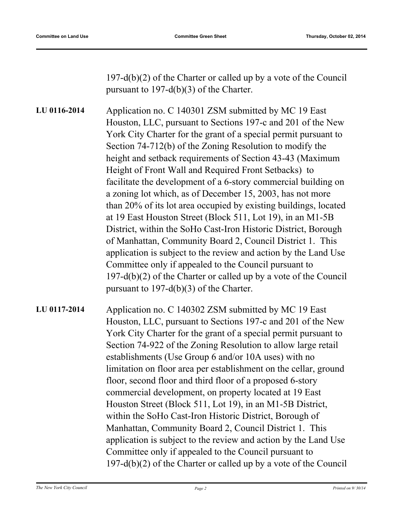197-d(b)(2) of the Charter or called up by a vote of the Council pursuant to 197-d(b)(3) of the Charter.

Application no. C 140301 ZSM submitted by MC 19 East Houston, LLC, pursuant to Sections 197-c and 201 of the New York City Charter for the grant of a special permit pursuant to Section 74-712(b) of the Zoning Resolution to modify the height and setback requirements of Section 43-43 (Maximum Height of Front Wall and Required Front Setbacks) to facilitate the development of a 6-story commercial building on a zoning lot which, as of December 15, 2003, has not more than 20% of its lot area occupied by existing buildings, located at 19 East Houston Street (Block 511, Lot 19), in an M1-5B District, within the SoHo Cast-Iron Historic District, Borough of Manhattan, Community Board 2, Council District 1. This application is subject to the review and action by the Land Use Committee only if appealed to the Council pursuant to 197-d(b)(2) of the Charter or called up by a vote of the Council pursuant to 197-d(b)(3) of the Charter. **LU 0116-2014**

Application no. C 140302 ZSM submitted by MC 19 East Houston, LLC, pursuant to Sections 197-c and 201 of the New York City Charter for the grant of a special permit pursuant to Section 74-922 of the Zoning Resolution to allow large retail establishments (Use Group 6 and/or 10A uses) with no limitation on floor area per establishment on the cellar, ground floor, second floor and third floor of a proposed 6-story commercial development, on property located at 19 East Houston Street (Block 511, Lot 19), in an M1-5B District, within the SoHo Cast-Iron Historic District, Borough of Manhattan, Community Board 2, Council District 1. This application is subject to the review and action by the Land Use Committee only if appealed to the Council pursuant to 197-d(b)(2) of the Charter or called up by a vote of the Council **LU 0117-2014**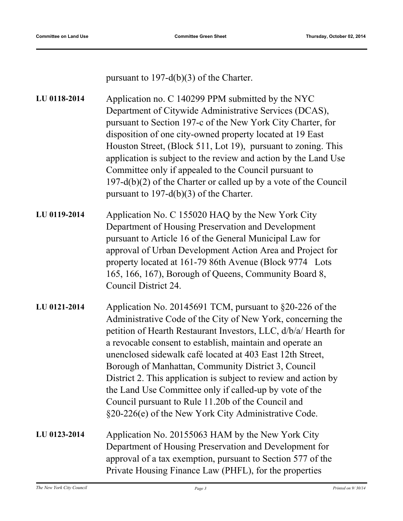pursuant to 197-d(b)(3) of the Charter.

Application no. C 140299 PPM submitted by the NYC Department of Citywide Administrative Services (DCAS), pursuant to Section 197-c of the New York City Charter, for disposition of one city-owned property located at 19 East Houston Street, (Block 511, Lot 19), pursuant to zoning. This application is subject to the review and action by the Land Use Committee only if appealed to the Council pursuant to 197-d(b)(2) of the Charter or called up by a vote of the Council pursuant to 197-d(b)(3) of the Charter. **LU 0118-2014** Application No. C 155020 HAQ by the New York City Department of Housing Preservation and Development pursuant to Article 16 of the General Municipal Law for approval of Urban Development Action Area and Project for property located at 161-79 86th Avenue (Block 9774 Lots 165, 166, 167), Borough of Queens, Community Board 8, **LU 0119-2014**

Council District 24. Application No. 20145691 TCM, pursuant to §20-226 of the Administrative Code of the City of New York, concerning the petition of Hearth Restaurant Investors, LLC, d/b/a/ Hearth for a revocable consent to establish, maintain and operate an unenclosed sidewalk café located at 403 East 12th Street, Borough of Manhattan, Community District 3, Council **LU 0121-2014**

District 2. This application is subject to review and action by the Land Use Committee only if called-up by vote of the Council pursuant to Rule 11.20b of the Council and §20-226(e) of the New York City Administrative Code.

Application No. 20155063 HAM by the New York City Department of Housing Preservation and Development for approval of a tax exemption, pursuant to Section 577 of the Private Housing Finance Law (PHFL), for the properties **LU 0123-2014**